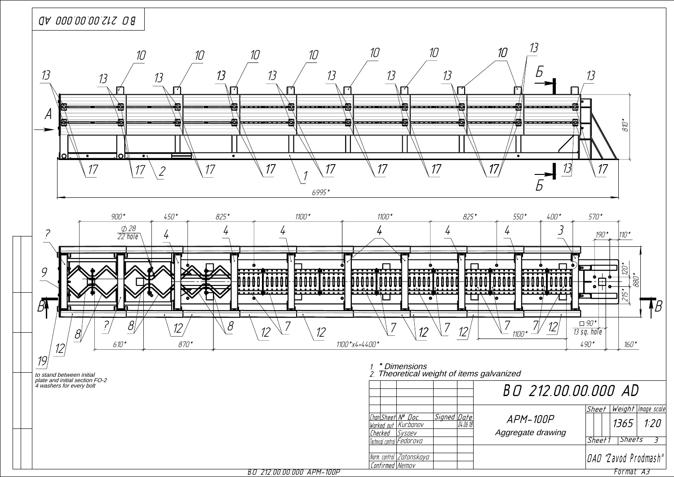

BÎ 212.00.00.000 APM-100P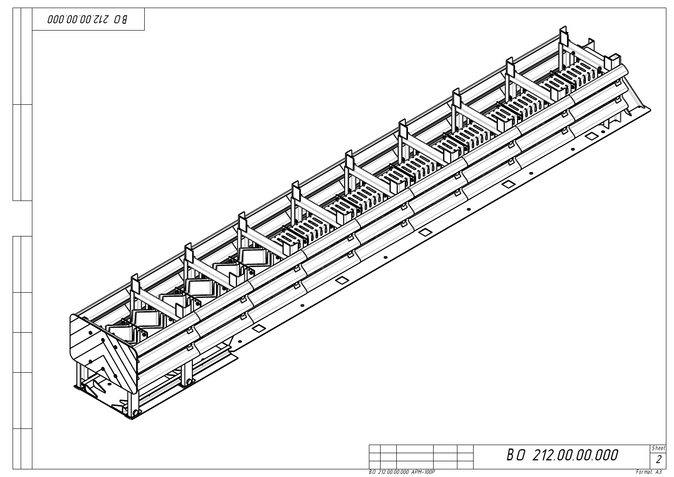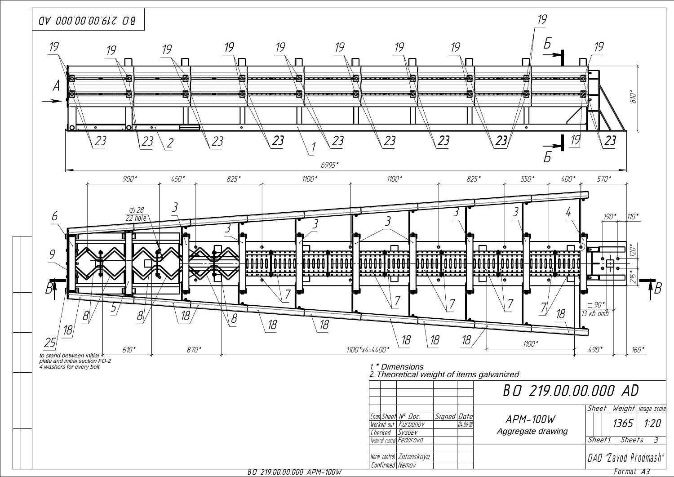

BÎ 219.00.00.000 APM-100W